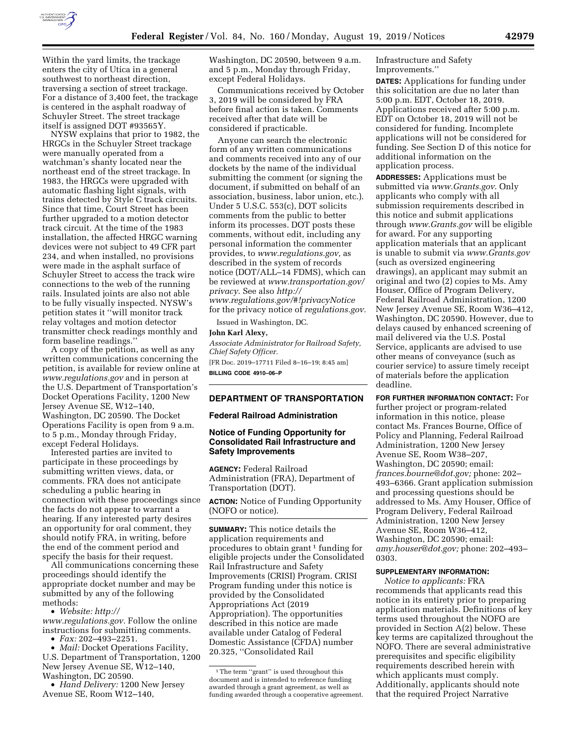

Within the yard limits, the trackage enters the city of Utica in a general southwest to northeast direction, traversing a section of street trackage. For a distance of 3,400 feet, the trackage is centered in the asphalt roadway of Schuyler Street. The street trackage itself is assigned DOT #93565Y.

NYSW explains that prior to 1982, the HRGCs in the Schuyler Street trackage were manually operated from a watchman's shanty located near the northeast end of the street trackage. In 1983, the HRGCs were upgraded with automatic flashing light signals, with trains detected by Style C track circuits. Since that time, Court Street has been further upgraded to a motion detector track circuit. At the time of the 1983 installation, the affected HRGC warning devices were not subject to 49 CFR part 234, and when installed, no provisions were made in the asphalt surface of Schuyler Street to access the track wire connections to the web of the running rails. Insulated joints are also not able to be fully visually inspected. NYSW's petition states it ''will monitor track relay voltages and motion detector transmitter check readings monthly and form baseline readings.''

A copy of the petition, as well as any written communications concerning the petition, is available for review online at *[www.regulations.gov](http://www.regulations.gov)* and in person at the U.S. Department of Transportation's Docket Operations Facility, 1200 New Jersey Avenue SE, W12–140, Washington, DC 20590. The Docket Operations Facility is open from 9 a.m. to 5 p.m., Monday through Friday, except Federal Holidays.

Interested parties are invited to participate in these proceedings by submitting written views, data, or comments. FRA does not anticipate scheduling a public hearing in connection with these proceedings since the facts do not appear to warrant a hearing. If any interested party desires an opportunity for oral comment, they should notify FRA, in writing, before the end of the comment period and specify the basis for their request.

All communications concerning these proceedings should identify the appropriate docket number and may be submitted by any of the following methods:

• *Website: [http://](http://www.regulations.gov)  [www.regulations.gov.](http://www.regulations.gov)* Follow the online instructions for submitting comments.

• *Fax:* 202–493–2251.

• *Mail:* Docket Operations Facility, U.S. Department of Transportation, 1200 New Jersey Avenue SE, W12–140, Washington, DC 20590.

• *Hand Delivery:* 1200 New Jersey Avenue SE, Room W12–140,

Washington, DC 20590, between 9 a.m. and 5 p.m., Monday through Friday, except Federal Holidays.

Communications received by October 3, 2019 will be considered by FRA before final action is taken. Comments received after that date will be considered if practicable.

Anyone can search the electronic form of any written communications and comments received into any of our dockets by the name of the individual submitting the comment (or signing the document, if submitted on behalf of an association, business, labor union, etc.). Under 5 U.S.C. 553(c), DOT solicits comments from the public to better inform its processes. DOT posts these comments, without edit, including any personal information the commenter provides, to *[www.regulations.gov,](http://www.regulations.gov)* as described in the system of records notice (DOT/ALL–14 FDMS), which can be reviewed at *[www.transportation.gov/](http://www.transportation.gov/privacy)  [privacy](http://www.transportation.gov/privacy)*. See also *[http://](http://www.regulations.gov/#!privacyNotice) [www.regulations.gov/#!privacyNotice](http://www.regulations.gov/#!privacyNotice)*  for the privacy notice of *regulations.gov.* 

Issued in Washington, DC.

### **John Karl Alexy,**

*Associate Administrator for Railroad Safety, Chief Safety Officer.*  [FR Doc. 2019–17711 Filed 8–16–19; 8:45 am]

**BILLING CODE 4910–06–P** 

# **DEPARTMENT OF TRANSPORTATION**

### **Federal Railroad Administration**

# **Notice of Funding Opportunity for Consolidated Rail Infrastructure and Safety Improvements**

**AGENCY:** Federal Railroad Administration (FRA), Department of Transportation (DOT).

**ACTION:** Notice of Funding Opportunity (NOFO or notice).

**SUMMARY:** This notice details the application requirements and procedures to obtain grant 1 funding for eligible projects under the Consolidated Rail Infrastructure and Safety Improvements (CRISI) Program. CRISI Program funding under this notice is provided by the Consolidated Appropriations Act (2019 Appropriation). The opportunities described in this notice are made available under Catalog of Federal Domestic Assistance (CFDA) number 20.325, ''Consolidated Rail

Infrastructure and Safety Improvements.''

**DATES:** Applications for funding under this solicitation are due no later than 5:00 p.m. EDT, October 18, 2019. Applications received after 5:00 p.m. EDT on October 18, 2019 will not be considered for funding. Incomplete applications will not be considered for funding. See Section D of this notice for additional information on the application process.

**ADDRESSES:** Applications must be submitted via *[www.Grants.gov](http://www.Grants.gov)*. Only applicants who comply with all submission requirements described in this notice and submit applications through *[www.Grants.gov](http://www.Grants.gov)* will be eligible for award. For any supporting application materials that an applicant is unable to submit via *[www.Grants.gov](http://www.Grants.gov)*  (such as oversized engineering drawings), an applicant may submit an original and two (2) copies to Ms. Amy Houser, Office of Program Delivery, Federal Railroad Administration, 1200 New Jersey Avenue SE, Room W36–412, Washington, DC 20590. However, due to delays caused by enhanced screening of mail delivered via the U.S. Postal Service, applicants are advised to use other means of conveyance (such as courier service) to assure timely receipt of materials before the application deadline.

**FOR FURTHER INFORMATION CONTACT:** For further project or program-related information in this notice, please contact Ms. Frances Bourne, Office of Policy and Planning, Federal Railroad Administration, 1200 New Jersey Avenue SE, Room W38–207, Washington, DC 20590; email: *[frances.bourne@dot.gov;](mailto:frances.bourne@dot.gov)* phone: 202– 493–6366. Grant application submission and processing questions should be addressed to Ms. Amy Houser, Office of Program Delivery, Federal Railroad Administration, 1200 New Jersey Avenue SE, Room W36–412, Washington, DC 20590; email: *[amy.houser@dot.gov;](mailto:amy.houser@dot.gov)* phone: 202–493– 0303.

#### **SUPPLEMENTARY INFORMATION:**

*Notice to applicants:* FRA recommends that applicants read this notice in its entirety prior to preparing application materials. Definitions of key terms used throughout the NOFO are provided in Section A(2) below. These key terms are capitalized throughout the NOFO. There are several administrative prerequisites and specific eligibility requirements described herein with which applicants must comply. Additionally, applicants should note that the required Project Narrative

<sup>&</sup>lt;sup>1</sup>The term "grant" is used throughout this document and is intended to reference funding awarded through a grant agreement, as well as funding awarded through a cooperative agreement.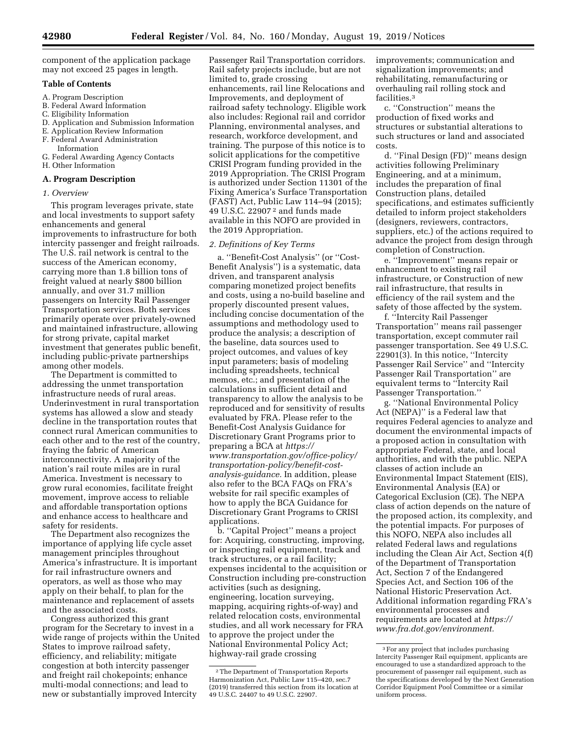component of the application package may not exceed 25 pages in length.

### **Table of Contents**

- A. Program Description
- B. Federal Award Information
- C. Eligibility Information
- D. Application and Submission Information
- E. Application Review Information F. Federal Award Administration
- Information
- G. Federal Awarding Agency Contacts
- H. Other Information

# **A. Program Description**

#### *1. Overview*

This program leverages private, state and local investments to support safety enhancements and general improvements to infrastructure for both intercity passenger and freight railroads. The U.S. rail network is central to the success of the American economy, carrying more than 1.8 billion tons of freight valued at nearly \$800 billion annually, and over 31.7 million passengers on Intercity Rail Passenger Transportation services. Both services primarily operate over privately-owned and maintained infrastructure, allowing for strong private, capital market investment that generates public benefit, including public-private partnerships among other models.

The Department is committed to addressing the unmet transportation infrastructure needs of rural areas. Underinvestment in rural transportation systems has allowed a slow and steady decline in the transportation routes that connect rural American communities to each other and to the rest of the country, fraying the fabric of American interconnectivity. A majority of the nation's rail route miles are in rural America. Investment is necessary to grow rural economies, facilitate freight movement, improve access to reliable and affordable transportation options and enhance access to healthcare and safety for residents.

The Department also recognizes the importance of applying life cycle asset management principles throughout America's infrastructure. It is important for rail infrastructure owners and operators, as well as those who may apply on their behalf, to plan for the maintenance and replacement of assets and the associated costs.

Congress authorized this grant program for the Secretary to invest in a wide range of projects within the United States to improve railroad safety, efficiency, and reliability; mitigate congestion at both intercity passenger and freight rail chokepoints; enhance multi-modal connections; and lead to new or substantially improved Intercity

Passenger Rail Transportation corridors. Rail safety projects include, but are not limited to, grade crossing enhancements, rail line Relocations and Improvements, and deployment of railroad safety technology. Eligible work also includes: Regional rail and corridor Planning, environmental analyses, and research, workforce development, and training. The purpose of this notice is to solicit applications for the competitive CRISI Program funding provided in the 2019 Appropriation. The CRISI Program is authorized under Section 11301 of the Fixing America's Surface Transportation (FAST) Act, Public Law 114–94 (2015); 49 U.S.C. 22907 2 and funds made available in this NOFO are provided in the 2019 Appropriation.

#### *2. Definitions of Key Terms*

a. ''Benefit-Cost Analysis'' (or ''Cost-Benefit Analysis'') is a systematic, data driven, and transparent analysis comparing monetized project benefits and costs, using a no-build baseline and properly discounted present values, including concise documentation of the assumptions and methodology used to produce the analysis; a description of the baseline, data sources used to project outcomes, and values of key input parameters; basis of modeling including spreadsheets, technical memos, etc.; and presentation of the calculations in sufficient detail and transparency to allow the analysis to be reproduced and for sensitivity of results evaluated by FRA. Please refer to the Benefit-Cost Analysis Guidance for Discretionary Grant Programs prior to preparing a BCA at *[https://](https://www.transportation.gov/office-policy/transportation-policy/benefit-cost-analysis-guidance) [www.transportation.gov/office-policy/](https://www.transportation.gov/office-policy/transportation-policy/benefit-cost-analysis-guidance) [transportation-policy/benefit-cost](https://www.transportation.gov/office-policy/transportation-policy/benefit-cost-analysis-guidance)[analysis-guidance.](https://www.transportation.gov/office-policy/transportation-policy/benefit-cost-analysis-guidance)* In addition, please also refer to the BCA FAQs on FRA's website for rail specific examples of how to apply the BCA Guidance for Discretionary Grant Programs to CRISI applications.

b. ''Capital Project'' means a project for: Acquiring, constructing, improving, or inspecting rail equipment, track and track structures, or a rail facility; expenses incidental to the acquisition or Construction including pre-construction activities (such as designing, engineering, location surveying, mapping, acquiring rights-of-way) and related relocation costs, environmental studies, and all work necessary for FRA to approve the project under the National Environmental Policy Act; highway-rail grade crossing

improvements; communication and signalization improvements; and rehabilitating, remanufacturing or overhauling rail rolling stock and facilities.3

c. ''Construction'' means the production of fixed works and structures or substantial alterations to such structures or land and associated costs.

d. ''Final Design (FD)'' means design activities following Preliminary Engineering, and at a minimum, includes the preparation of final Construction plans, detailed specifications, and estimates sufficiently detailed to inform project stakeholders (designers, reviewers, contractors, suppliers, etc.) of the actions required to advance the project from design through completion of Construction.

e. ''Improvement'' means repair or enhancement to existing rail infrastructure, or Construction of new rail infrastructure, that results in efficiency of the rail system and the safety of those affected by the system.

f. ''Intercity Rail Passenger Transportation'' means rail passenger transportation, except commuter rail passenger transportation. See 49 U.S.C. 22901(3). In this notice, ''Intercity Passenger Rail Service'' and ''Intercity Passenger Rail Transportation'' are equivalent terms to ''Intercity Rail Passenger Transportation.''

g. ''National Environmental Policy Act (NEPA)'' is a Federal law that requires Federal agencies to analyze and document the environmental impacts of a proposed action in consultation with appropriate Federal, state, and local authorities, and with the public. NEPA classes of action include an Environmental Impact Statement (EIS), Environmental Analysis (EA) or Categorical Exclusion (CE). The NEPA class of action depends on the nature of the proposed action, its complexity, and the potential impacts. For purposes of this NOFO, NEPA also includes all related Federal laws and regulations including the Clean Air Act, Section 4(f) of the Department of Transportation Act, Section 7 of the Endangered Species Act, and Section 106 of the National Historic Preservation Act. Additional information regarding FRA's environmental processes and requirements are located at *[https://](https://www.fra.dot.gov/environment) [www.fra.dot.gov/environment.](https://www.fra.dot.gov/environment)* 

<sup>2</sup>The Department of Transportation Reports Harmonization Act, Public Law 115–420, sec.7 (2019) transferred this section from its location at 49 U.S.C. 24407 to 49 U.S.C. 22907.

<sup>3</sup>For any project that includes purchasing Intercity Passenger Rail equipment, applicants are encouraged to use a standardized approach to the procurement of passenger rail equipment, such as the specifications developed by the Next Generation Corridor Equipment Pool Committee or a similar uniform process.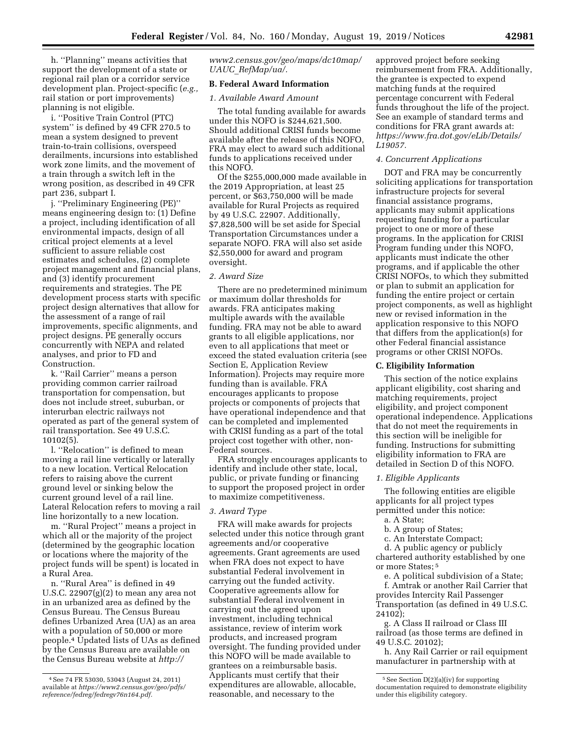h. ''Planning'' means activities that support the development of a state or regional rail plan or a corridor service development plan. Project-specific (*e.g.,*  rail station or port improvements) planning is not eligible.

i. ''Positive Train Control (PTC) system'' is defined by 49 CFR 270.5 to mean a system designed to prevent train-to-train collisions, overspeed derailments, incursions into established work zone limits, and the movement of a train through a switch left in the wrong position, as described in 49 CFR part 236, subpart I.

j. ''Preliminary Engineering (PE)'' means engineering design to: (1) Define a project, including identification of all environmental impacts, design of all critical project elements at a level sufficient to assure reliable cost estimates and schedules, (2) complete project management and financial plans, and (3) identify procurement requirements and strategies. The PE development process starts with specific project design alternatives that allow for the assessment of a range of rail improvements, specific alignments, and project designs. PE generally occurs concurrently with NEPA and related analyses, and prior to FD and Construction.

k. ''Rail Carrier'' means a person providing common carrier railroad transportation for compensation, but does not include street, suburban, or interurban electric railways not operated as part of the general system of rail transportation. See 49 U.S.C. 10102(5).

l. ''Relocation'' is defined to mean moving a rail line vertically or laterally to a new location. Vertical Relocation refers to raising above the current ground level or sinking below the current ground level of a rail line. Lateral Relocation refers to moving a rail line horizontally to a new location.

m. ''Rural Project'' means a project in which all or the majority of the project (determined by the geographic location or locations where the majority of the project funds will be spent) is located in a Rural Area.

n. ''Rural Area'' is defined in 49 U.S.C. 22907 $(g)(2)$  to mean any area not in an urbanized area as defined by the Census Bureau. The Census Bureau defines Urbanized Area (UA) as an area with a population of 50,000 or more people.4 Updated lists of UAs as defined by the Census Bureau are available on the Census Bureau website at *[http://](http://www2.census.gov/geo/maps/dc10map/UAUC_RefMap/ua/)*

*[www2.census.gov/geo/maps/dc10map/](http://www2.census.gov/geo/maps/dc10map/UAUC_RefMap/ua/)  UAUC*\_*[RefMap/ua/.](http://www2.census.gov/geo/maps/dc10map/UAUC_RefMap/ua/)* 

### **B. Federal Award Information**

### *1. Available Award Amount*

The total funding available for awards under this NOFO is \$244,621,500. Should additional CRISI funds become available after the release of this NOFO, FRA may elect to award such additional funds to applications received under this NOFO.

Of the \$255,000,000 made available in the 2019 Appropriation, at least 25 percent, or \$63,750,000 will be made available for Rural Projects as required by 49 U.S.C. 22907. Additionally, \$7,828,500 will be set aside for Special Transportation Circumstances under a separate NOFO. FRA will also set aside \$2,550,000 for award and program oversight.

#### *2. Award Size*

There are no predetermined minimum or maximum dollar thresholds for awards. FRA anticipates making multiple awards with the available funding. FRA may not be able to award grants to all eligible applications, nor even to all applications that meet or exceed the stated evaluation criteria (see Section E, Application Review Information). Projects may require more funding than is available. FRA encourages applicants to propose projects or components of projects that have operational independence and that can be completed and implemented with CRISI funding as a part of the total project cost together with other, non-Federal sources.

FRA strongly encourages applicants to identify and include other state, local, public, or private funding or financing to support the proposed project in order to maximize competitiveness.

### *3. Award Type*

FRA will make awards for projects selected under this notice through grant agreements and/or cooperative agreements. Grant agreements are used when FRA does not expect to have substantial Federal involvement in carrying out the funded activity. Cooperative agreements allow for substantial Federal involvement in carrying out the agreed upon investment, including technical assistance, review of interim work products, and increased program oversight. The funding provided under this NOFO will be made available to grantees on a reimbursable basis. Applicants must certify that their expenditures are allowable, allocable, reasonable, and necessary to the

approved project before seeking reimbursement from FRA. Additionally, the grantee is expected to expend matching funds at the required percentage concurrent with Federal funds throughout the life of the project. See an example of standard terms and conditions for FRA grant awards at: *[https://www.fra.dot.gov/eLib/Details/](https://www.fra.dot.gov/eLib/Details/L19057) [L19057.](https://www.fra.dot.gov/eLib/Details/L19057)* 

# *4. Concurrent Applications*

DOT and FRA may be concurrently soliciting applications for transportation infrastructure projects for several financial assistance programs, applicants may submit applications requesting funding for a particular project to one or more of these programs. In the application for CRISI Program funding under this NOFO, applicants must indicate the other programs, and if applicable the other CRISI NOFOs, to which they submitted or plan to submit an application for funding the entire project or certain project components, as well as highlight new or revised information in the application responsive to this NOFO that differs from the application(s) for other Federal financial assistance programs or other CRISI NOFOs.

#### **C. Eligibility Information**

This section of the notice explains applicant eligibility, cost sharing and matching requirements, project eligibility, and project component operational independence. Applications that do not meet the requirements in this section will be ineligible for funding. Instructions for submitting eligibility information to FRA are detailed in Section D of this NOFO.

### *1. Eligible Applicants*

The following entities are eligible applicants for all project types permitted under this notice:

- a. A State;
- b. A group of States;
- c. An Interstate Compact;

d. A public agency or publicly chartered authority established by one or more States; 5

e. A political subdivision of a State; f. Amtrak or another Rail Carrier that provides Intercity Rail Passenger Transportation (as defined in 49 U.S.C. 24102);

g. A Class II railroad or Class III railroad (as those terms are defined in 49 U.S.C. 20102);

h. Any Rail Carrier or rail equipment manufacturer in partnership with at

<sup>4</sup>See 74 FR 53030, 53043 (August 24, 2011) available at *[https://www2.census.gov/geo/pdfs/](https://www2.census.gov/geo/pdfs/reference/fedreg/fedregv76n164.pdf)  [reference/fedreg/fedregv76n164.pdf.](https://www2.census.gov/geo/pdfs/reference/fedreg/fedregv76n164.pdf)* 

<sup>5</sup>See Section D(2)(a)(iv) for supporting documentation required to demonstrate eligibility under this eligibility category.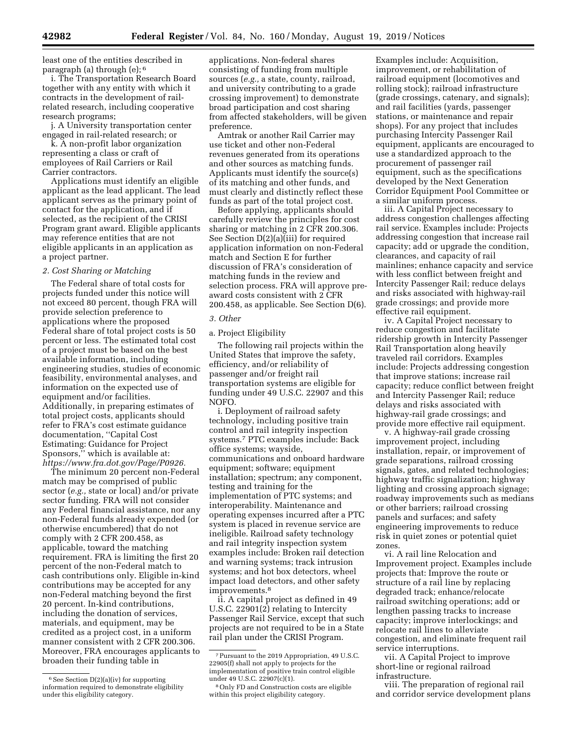least one of the entities described in paragraph (a) through (e); 6

i. The Transportation Research Board together with any entity with which it contracts in the development of railrelated research, including cooperative research programs;

j. A University transportation center engaged in rail-related research; or

k. A non-profit labor organization representing a class or craft of employees of Rail Carriers or Rail Carrier contractors.

Applications must identify an eligible applicant as the lead applicant. The lead applicant serves as the primary point of contact for the application, and if selected, as the recipient of the CRISI Program grant award. Eligible applicants may reference entities that are not eligible applicants in an application as a project partner.

### *2. Cost Sharing or Matching*

The Federal share of total costs for projects funded under this notice will not exceed 80 percent, though FRA will provide selection preference to applications where the proposed Federal share of total project costs is 50 percent or less. The estimated total cost of a project must be based on the best available information, including engineering studies, studies of economic feasibility, environmental analyses, and information on the expected use of equipment and/or facilities. Additionally, in preparing estimates of total project costs, applicants should refer to FRA's cost estimate guidance documentation, ''Capital Cost Estimating: Guidance for Project Sponsors,'' which is available at: *[https://www.fra.dot.gov/Page/P0926.](https://www.fra.dot.gov/Page/P0926)* 

The minimum 20 percent non-Federal match may be comprised of public sector (*e.g.,* state or local) and/or private sector funding. FRA will not consider any Federal financial assistance, nor any non-Federal funds already expended (or otherwise encumbered) that do not comply with 2 CFR 200.458, as applicable, toward the matching requirement. FRA is limiting the first 20 percent of the non-Federal match to cash contributions only. Eligible in-kind contributions may be accepted for any non-Federal matching beyond the first 20 percent. In-kind contributions, including the donation of services, materials, and equipment, may be credited as a project cost, in a uniform manner consistent with 2 CFR 200.306. Moreover, FRA encourages applicants to broaden their funding table in

applications. Non-federal shares consisting of funding from multiple sources (*e.g.,* a state, county, railroad, and university contributing to a grade crossing improvement) to demonstrate broad participation and cost sharing from affected stakeholders, will be given preference.

Amtrak or another Rail Carrier may use ticket and other non-Federal revenues generated from its operations and other sources as matching funds. Applicants must identify the source(s) of its matching and other funds, and must clearly and distinctly reflect these funds as part of the total project cost.

Before applying, applicants should carefully review the principles for cost sharing or matching in 2 CFR 200.306. See Section D(2)(a)(iii) for required application information on non-Federal match and Section E for further discussion of FRA's consideration of matching funds in the review and selection process. FRA will approve preaward costs consistent with 2 CFR 200.458, as applicable. See Section D(6).

#### *3. Other*

### a. Project Eligibility

The following rail projects within the United States that improve the safety, efficiency, and/or reliability of passenger and/or freight rail transportation systems are eligible for funding under 49 U.S.C. 22907 and this NOFO.

i. Deployment of railroad safety technology, including positive train control and rail integrity inspection systems.7 PTC examples include: Back office systems; wayside, communications and onboard hardware equipment; software; equipment installation; spectrum; any component, testing and training for the implementation of PTC systems; and interoperability. Maintenance and operating expenses incurred after a PTC system is placed in revenue service are ineligible. Railroad safety technology and rail integrity inspection system examples include: Broken rail detection and warning systems; track intrusion systems; and hot box detectors, wheel impact load detectors, and other safety improvements.8

ii. A capital project as defined in 49 U.S.C. 22901(2) relating to Intercity Passenger Rail Service, except that such projects are not required to be in a State rail plan under the CRISI Program.

Examples include: Acquisition, improvement, or rehabilitation of railroad equipment (locomotives and rolling stock); railroad infrastructure (grade crossings, catenary, and signals); and rail facilities (yards, passenger stations, or maintenance and repair shops). For any project that includes purchasing Intercity Passenger Rail equipment, applicants are encouraged to use a standardized approach to the procurement of passenger rail equipment, such as the specifications developed by the Next Generation Corridor Equipment Pool Committee or a similar uniform process.

iii. A Capital Project necessary to address congestion challenges affecting rail service. Examples include: Projects addressing congestion that increase rail capacity; add or upgrade the condition, clearances, and capacity of rail mainlines; enhance capacity and service with less conflict between freight and Intercity Passenger Rail; reduce delays and risks associated with highway-rail grade crossings; and provide more effective rail equipment.

iv. A Capital Project necessary to reduce congestion and facilitate ridership growth in Intercity Passenger Rail Transportation along heavily traveled rail corridors. Examples include: Projects addressing congestion that improve stations; increase rail capacity; reduce conflict between freight and Intercity Passenger Rail; reduce delays and risks associated with highway-rail grade crossings; and provide more effective rail equipment.

v. A highway-rail grade crossing improvement project, including installation, repair, or improvement of grade separations, railroad crossing signals, gates, and related technologies; highway traffic signalization; highway lighting and crossing approach signage; roadway improvements such as medians or other barriers; railroad crossing panels and surfaces; and safety engineering improvements to reduce risk in quiet zones or potential quiet zones.

vi. A rail line Relocation and Improvement project. Examples include projects that: Improve the route or structure of a rail line by replacing degraded track; enhance/relocate railroad switching operations; add or lengthen passing tracks to increase capacity; improve interlockings; and relocate rail lines to alleviate congestion, and eliminate frequent rail service interruptions.

vii. A Capital Project to improve short-line or regional railroad infrastructure.

viii. The preparation of regional rail and corridor service development plans

 $6$  See Section D(2)(a)(iv) for supporting information required to demonstrate eligibility under this eligibility category.

<sup>7</sup>Pursuant to the 2019 Appropriation, 49 U.S.C. 22905(f) shall not apply to projects for the implementation of positive train control eligible under 49 U.S.C. 22907(c)(1).

<sup>8</sup>Only FD and Construction costs are eligible within this project eligibility category.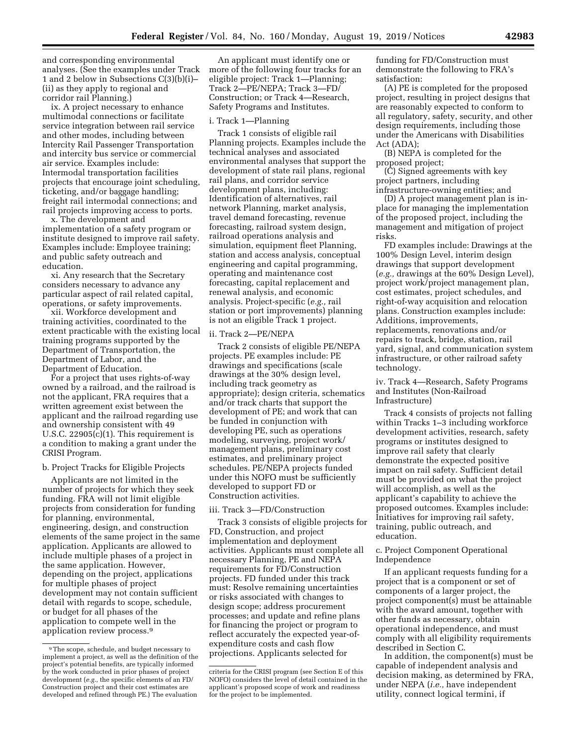and corresponding environmental analyses. (See the examples under Track 1 and 2 below in Subsections C(3)(b)(i)– (ii) as they apply to regional and corridor rail Planning.)

ix. A project necessary to enhance multimodal connections or facilitate service integration between rail service and other modes, including between Intercity Rail Passenger Transportation and intercity bus service or commercial air service. Examples include: Intermodal transportation facilities projects that encourage joint scheduling, ticketing, and/or baggage handling; freight rail intermodal connections; and rail projects improving access to ports.

x. The development and implementation of a safety program or institute designed to improve rail safety. Examples include: Employee training; and public safety outreach and education.

xi. Any research that the Secretary considers necessary to advance any particular aspect of rail related capital, operations, or safety improvements.

xii. Workforce development and training activities, coordinated to the extent practicable with the existing local training programs supported by the Department of Transportation, the Department of Labor, and the Department of Education.

For a project that uses rights-of-way owned by a railroad, and the railroad is not the applicant, FRA requires that a written agreement exist between the applicant and the railroad regarding use and ownership consistent with 49 U.S.C. 22905(c)(1). This requirement is a condition to making a grant under the CRISI Program.

### b. Project Tracks for Eligible Projects

Applicants are not limited in the number of projects for which they seek funding. FRA will not limit eligible projects from consideration for funding for planning, environmental, engineering, design, and construction elements of the same project in the same application. Applicants are allowed to include multiple phases of a project in the same application. However, depending on the project, applications for multiple phases of project development may not contain sufficient detail with regards to scope, schedule, or budget for all phases of the application to compete well in the application review process.9

An applicant must identify one or more of the following four tracks for an eligible project: Track 1—Planning; Track 2—PE/NEPA; Track 3—FD/ Construction; or Track 4—Research, Safety Programs and Institutes.

#### i. Track 1—Planning

Track 1 consists of eligible rail Planning projects. Examples include the technical analyses and associated environmental analyses that support the development of state rail plans, regional rail plans, and corridor service development plans, including: Identification of alternatives, rail network Planning, market analysis, travel demand forecasting, revenue forecasting, railroad system design, railroad operations analysis and simulation, equipment fleet Planning, station and access analysis, conceptual engineering and capital programming, operating and maintenance cost forecasting, capital replacement and renewal analysis, and economic analysis. Project-specific (*e.g.,* rail station or port improvements) planning is not an eligible Track 1 project.

#### ii. Track 2—PE/NEPA

Track 2 consists of eligible PE/NEPA projects. PE examples include: PE drawings and specifications (scale drawings at the 30% design level, including track geometry as appropriate); design criteria, schematics and/or track charts that support the development of PE; and work that can be funded in conjunction with developing PE, such as operations modeling, surveying, project work/ management plans, preliminary cost estimates, and preliminary project schedules. PE/NEPA projects funded under this NOFO must be sufficiently developed to support FD or Construction activities.

#### iii. Track 3—FD/Construction

Track 3 consists of eligible projects for FD, Construction, and project implementation and deployment activities. Applicants must complete all necessary Planning, PE and NEPA requirements for FD/Construction projects. FD funded under this track must: Resolve remaining uncertainties or risks associated with changes to design scope; address procurement processes; and update and refine plans for financing the project or program to reflect accurately the expected year-ofexpenditure costs and cash flow projections. Applicants selected for

funding for FD/Construction must demonstrate the following to FRA's satisfaction:

(A) PE is completed for the proposed project, resulting in project designs that are reasonably expected to conform to all regulatory, safety, security, and other design requirements, including those under the Americans with Disabilities Act (ADA);

(B) NEPA is completed for the proposed project;

(C) Signed agreements with key project partners, including

infrastructure-owning entities; and (D) A project management plan is inplace for managing the implementation of the proposed project, including the management and mitigation of project risks.

FD examples include: Drawings at the 100% Design Level, interim design drawings that support development (*e.g.,* drawings at the 60% Design Level), project work/project management plan, cost estimates, project schedules, and right-of-way acquisition and relocation plans. Construction examples include: Additions, improvements, replacements, renovations and/or repairs to track, bridge, station, rail yard, signal, and communication system infrastructure, or other railroad safety technology.

iv. Track 4—Research, Safety Programs and Institutes (Non-Railroad Infrastructure)

Track 4 consists of projects not falling within Tracks 1–3 including workforce development activities, research, safety programs or institutes designed to improve rail safety that clearly demonstrate the expected positive impact on rail safety. Sufficient detail must be provided on what the project will accomplish, as well as the applicant's capability to achieve the proposed outcomes. Examples include: Initiatives for improving rail safety, training, public outreach, and education.

### c. Project Component Operational Independence

If an applicant requests funding for a project that is a component or set of components of a larger project, the project component(s) must be attainable with the award amount, together with other funds as necessary, obtain operational independence, and must comply with all eligibility requirements described in Section C.

In addition, the component(s) must be capable of independent analysis and decision making, as determined by FRA, under NEPA (*i.e.,* have independent utility, connect logical termini, if

<sup>9</sup>The scope, schedule, and budget necessary to implement a project, as well as the definition of the project's potential benefits, are typically informed by the work conducted in prior phases of project development (*e.g.,* the specific elements of an FD/ Construction project and their cost estimates are developed and refined through PE.) The evaluation

criteria for the CRISI program (see Section E of this NOFO) considers the level of detail contained in the applicant's proposed scope of work and readiness for the project to be implemented.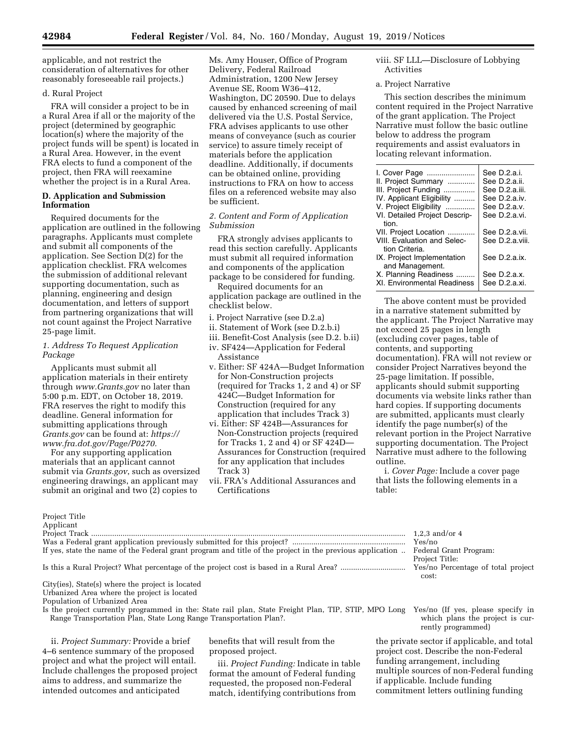applicable, and not restrict the consideration of alternatives for other reasonably foreseeable rail projects.)

### d. Rural Project

FRA will consider a project to be in a Rural Area if all or the majority of the project (determined by geographic location(s) where the majority of the project funds will be spent) is located in a Rural Area. However, in the event FRA elects to fund a component of the project, then FRA will reexamine whether the project is in a Rural Area.

### **D. Application and Submission Information**

Required documents for the application are outlined in the following paragraphs. Applicants must complete and submit all components of the application. See Section D(2) for the application checklist. FRA welcomes the submission of additional relevant supporting documentation, such as planning, engineering and design documentation, and letters of support from partnering organizations that will not count against the Project Narrative 25-page limit.

# *1. Address To Request Application Package*

Applicants must submit all application materials in their entirety through *[www.Grants.gov](http://www.Grants.gov)* no later than 5:00 p.m. EDT, on October 18, 2019. FRA reserves the right to modify this deadline. General information for submitting applications through *Grants.gov* can be found at: *[https://](https://www.fra.dot.gov/Page/P0270) [www.fra.dot.gov/Page/P0270.](https://www.fra.dot.gov/Page/P0270)* 

For any supporting application materials that an applicant cannot submit via *Grants.gov*, such as oversized engineering drawings, an applicant may submit an original and two (2) copies to

Ms. Amy Houser, Office of Program Delivery, Federal Railroad Administration, 1200 New Jersey Avenue SE, Room W36–412, Washington, DC 20590. Due to delays caused by enhanced screening of mail delivered via the U.S. Postal Service, FRA advises applicants to use other means of conveyance (such as courier service) to assure timely receipt of materials before the application deadline. Additionally, if documents can be obtained online, providing instructions to FRA on how to access files on a referenced website may also be sufficient.

# *2. Content and Form of Application Submission*

FRA strongly advises applicants to read this section carefully. Applicants must submit all required information and components of the application package to be considered for funding.

Required documents for an application package are outlined in the checklist below.

- i. Project Narrative (see D.2.a)
- ii. Statement of Work (see D.2.b.i)
- iii. Benefit-Cost Analysis (see D.2. b.ii)
- iv. SF424—Application for Federal Assistance
- v. Either: SF 424A—Budget Information for Non-Construction projects (required for Tracks 1, 2 and 4) or SF 424C—Budget Information for Construction (required for any application that includes Track 3)
- vi. Either: SF 424B—Assurances for Non-Construction projects (required for Tracks 1, 2 and 4) or SF 424D— Assurances for Construction (required for any application that includes Track 3)
- vii. FRA's Additional Assurances and Certifications

# viii. SF LLL—Disclosure of Lobbying Activities

### a. Project Narrative

This section describes the minimum content required in the Project Narrative of the grant application. The Project Narrative must follow the basic outline below to address the program requirements and assist evaluators in locating relevant information.

| I. Cover Page<br>II. Project Summary<br>III. Project Funding<br>IV. Applicant Eligibility<br>V. Project Eligibility<br>VI. Detailed Project Descrip-<br>tion. | See D.2.a.i.<br>See D.2.a.ii.<br>See D.2.a.iii.<br>See D.2.a.iv.<br>See D.2.a.v.<br>See D.2.a.vi. |
|---------------------------------------------------------------------------------------------------------------------------------------------------------------|---------------------------------------------------------------------------------------------------|
| VII. Project Location<br>VIII. Evaluation and Selec-<br>tion Criteria.                                                                                        | See D.2.a.vii.<br>See D.2.a.viii.                                                                 |
| IX. Project Implementation<br>and Management.                                                                                                                 | See D.2.a.ix.                                                                                     |
| X. Planning Readiness<br>XI. Environmental Readiness                                                                                                          | See D.2.a.x.<br>See D.2.a.xi.                                                                     |

The above content must be provided in a narrative statement submitted by the applicant. The Project Narrative may not exceed 25 pages in length (excluding cover pages, table of contents, and supporting documentation). FRA will not review or consider Project Narratives beyond the 25-page limitation. If possible, applicants should submit supporting documents via website links rather than hard copies. If supporting documents are submitted, applicants must clearly identify the page number(s) of the relevant portion in the Project Narrative supporting documentation. The Project Narrative must adhere to the following outline.

i. *Cover Page:* Include a cover page that lists the following elements in a table:

| Applicant                                                                                                                        |                                    |
|----------------------------------------------------------------------------------------------------------------------------------|------------------------------------|
|                                                                                                                                  | $1.2.3$ and/or $4$                 |
|                                                                                                                                  | Yes/no                             |
| If yes, state the name of the Federal grant program and title of the project in the previous application  Federal Grant Program: |                                    |
|                                                                                                                                  | Project Title:                     |
| Is this a Rural Project? What percentage of the project cost is based in a Rural Area?                                           | Yes/no Percentage of total project |
|                                                                                                                                  | cost:                              |

City(ies), State(s) where the project is located Urbanized Area where the project is located

Population of Urbanized Area

Project Title

Is the project currently programmed in the: State rail plan, State Freight Plan, TIP, STIP, MPO Long Yes/no (If yes, please specify in Range Transportation Plan, State Long Range Transportation Plan?.

ii. *Project Summary:* Provide a brief 4–6 sentence summary of the proposed project and what the project will entail. Include challenges the proposed project aims to address, and summarize the intended outcomes and anticipated

benefits that will result from the proposed project.

iii. *Project Funding:* Indicate in table format the amount of Federal funding requested, the proposed non-Federal match, identifying contributions from

which plans the project is currently programmed)

the private sector if applicable, and total project cost. Describe the non-Federal funding arrangement, including multiple sources of non-Federal funding if applicable. Include funding commitment letters outlining funding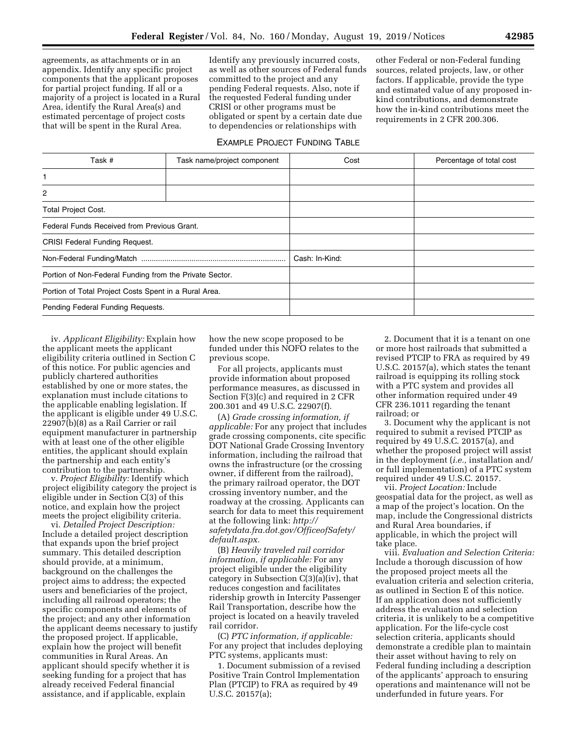agreements, as attachments or in an appendix. Identify any specific project components that the applicant proposes for partial project funding. If all or a majority of a project is located in a Rural Area, identify the Rural Area(s) and estimated percentage of project costs that will be spent in the Rural Area.

Identify any previously incurred costs, as well as other sources of Federal funds committed to the project and any pending Federal requests. Also, note if the requested Federal funding under CRISI or other programs must be obligated or spent by a certain date due to dependencies or relationships with

other Federal or non-Federal funding sources, related projects, law, or other factors. If applicable, provide the type and estimated value of any proposed inkind contributions, and demonstrate how the in-kind contributions meet the requirements in 2 CFR 200.306.

# EXAMPLE PROJECT FUNDING TABLE

| Task #<br>Task name/project component                   |  | Cost           | Percentage of total cost |
|---------------------------------------------------------|--|----------------|--------------------------|
|                                                         |  |                |                          |
| 2                                                       |  |                |                          |
| <b>Total Project Cost.</b>                              |  |                |                          |
| Federal Funds Received from Previous Grant.             |  |                |                          |
| <b>CRISI Federal Funding Request.</b>                   |  |                |                          |
|                                                         |  | Cash: In-Kind: |                          |
| Portion of Non-Federal Funding from the Private Sector. |  |                |                          |
| Portion of Total Project Costs Spent in a Rural Area.   |  |                |                          |
| Pending Federal Funding Requests.                       |  |                |                          |

iv. *Applicant Eligibility:* Explain how the applicant meets the applicant eligibility criteria outlined in Section C of this notice. For public agencies and publicly chartered authorities established by one or more states, the explanation must include citations to the applicable enabling legislation. If the applicant is eligible under 49 U.S.C. 22907(b)(8) as a Rail Carrier or rail equipment manufacturer in partnership with at least one of the other eligible entities, the applicant should explain the partnership and each entity's contribution to the partnership.

v. *Project Eligibility:* Identify which project eligibility category the project is eligible under in Section C(3) of this notice, and explain how the project meets the project eligibility criteria.

vi. *Detailed Project Description:*  Include a detailed project description that expands upon the brief project summary. This detailed description should provide, at a minimum, background on the challenges the project aims to address; the expected users and beneficiaries of the project, including all railroad operators; the specific components and elements of the project; and any other information the applicant deems necessary to justify the proposed project. If applicable, explain how the project will benefit communities in Rural Areas. An applicant should specify whether it is seeking funding for a project that has already received Federal financial assistance, and if applicable, explain

how the new scope proposed to be funded under this NOFO relates to the previous scope.

For all projects, applicants must provide information about proposed performance measures, as discussed in Section F(3)(c) and required in 2 CFR 200.301 and 49 U.S.C. 22907(f).

(A) *Grade crossing information, if applicable:* For any project that includes grade crossing components, cite specific DOT National Grade Crossing Inventory information, including the railroad that owns the infrastructure (or the crossing owner, if different from the railroad), the primary railroad operator, the DOT crossing inventory number, and the roadway at the crossing. Applicants can search for data to meet this requirement at the following link: *[http://](http://safetydata.fra.dot.gov/OfficeofSafety/default.aspx) [safetydata.fra.dot.gov/OfficeofSafety/](http://safetydata.fra.dot.gov/OfficeofSafety/default.aspx)  [default.aspx.](http://safetydata.fra.dot.gov/OfficeofSafety/default.aspx)* 

(B) *Heavily traveled rail corridor information, if applicable:* For any project eligible under the eligibility category in Subsection C(3)(a)(iv), that reduces congestion and facilitates ridership growth in Intercity Passenger Rail Transportation, describe how the project is located on a heavily traveled rail corridor.

(C) *PTC information, if applicable:*  For any project that includes deploying PTC systems, applicants must:

1. Document submission of a revised Positive Train Control Implementation Plan (PTCIP) to FRA as required by 49 U.S.C. 20157(a);

2. Document that it is a tenant on one or more host railroads that submitted a revised PTCIP to FRA as required by 49 U.S.C. 20157(a), which states the tenant railroad is equipping its rolling stock with a PTC system and provides all other information required under 49 CFR 236.1011 regarding the tenant railroad; or

3. Document why the applicant is not required to submit a revised PTCIP as required by 49 U.S.C. 20157(a), and whether the proposed project will assist in the deployment (*i.e.,* installation and/ or full implementation) of a PTC system required under 49 U.S.C. 20157.

vii. *Project Location:* Include geospatial data for the project, as well as a map of the project's location. On the map, include the Congressional districts and Rural Area boundaries, if applicable, in which the project will take place.

viii. *Evaluation and Selection Criteria:*  Include a thorough discussion of how the proposed project meets all the evaluation criteria and selection criteria, as outlined in Section E of this notice. If an application does not sufficiently address the evaluation and selection criteria, it is unlikely to be a competitive application. For the life-cycle cost selection criteria, applicants should demonstrate a credible plan to maintain their asset without having to rely on Federal funding including a description of the applicants' approach to ensuring operations and maintenance will not be underfunded in future years. For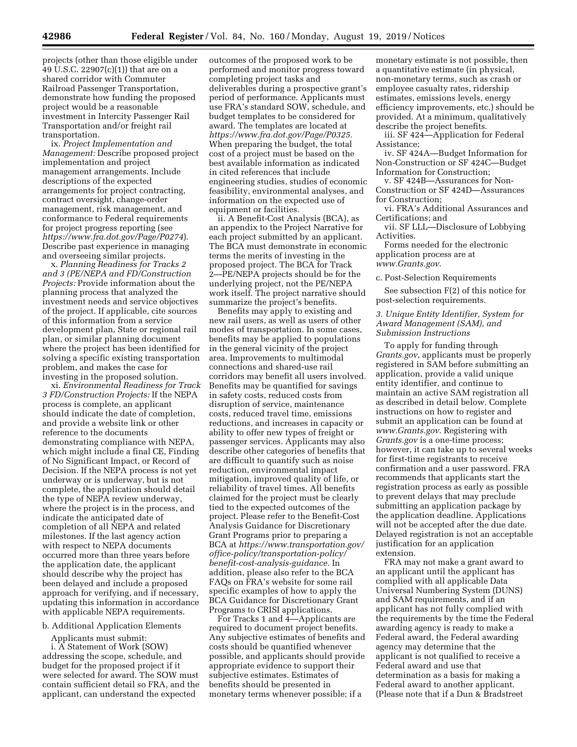projects (other than those eligible under 49 U.S.C. 22907(c)(1)) that are on a shared corridor with Commuter Railroad Passenger Transportation, demonstrate how funding the proposed project would be a reasonable investment in Intercity Passenger Rail Transportation and/or freight rail transportation.

ix. *Project Implementation and Management:* Describe proposed project implementation and project management arrangements. Include descriptions of the expected arrangements for project contracting, contract oversight, change-order management, risk management, and conformance to Federal requirements for project progress reporting (see *<https://www.fra.dot.gov/Page/P0274>*). Describe past experience in managing and overseeing similar projects.

x. *Planning Readiness for Tracks 2 and 3 (PE/NEPA and FD/Construction Projects:* Provide information about the planning process that analyzed the investment needs and service objectives of the project. If applicable, cite sources of this information from a service development plan, State or regional rail plan, or similar planning document where the project has been identified for solving a specific existing transportation problem, and makes the case for investing in the proposed solution.

xi. *Environmental Readiness for Track 3 FD/Construction Projects:* If the NEPA process is complete, an applicant should indicate the date of completion, and provide a website link or other reference to the documents demonstrating compliance with NEPA, which might include a final CE, Finding of No Significant Impact, or Record of Decision. If the NEPA process is not yet underway or is underway, but is not complete, the application should detail the type of NEPA review underway, where the project is in the process, and indicate the anticipated date of completion of all NEPA and related milestones. If the last agency action with respect to NEPA documents occurred more than three years before the application date, the applicant should describe why the project has been delayed and include a proposed approach for verifying, and if necessary, updating this information in accordance with applicable NEPA requirements.

# b. Additional Application Elements

Applicants must submit:

i. A Statement of Work (SOW) addressing the scope, schedule, and budget for the proposed project if it were selected for award. The SOW must contain sufficient detail so FRA, and the applicant, can understand the expected

outcomes of the proposed work to be performed and monitor progress toward completing project tasks and deliverables during a prospective grant's period of performance. Applicants must use FRA's standard SOW, schedule, and budget templates to be considered for award. The templates are located at *[https://www.fra.dot.gov/Page/P0325.](https://www.fra.dot.gov/Page/P0325)*  When preparing the budget, the total cost of a project must be based on the best available information as indicated in cited references that include engineering studies, studies of economic feasibility, environmental analyses, and information on the expected use of equipment or facilities.

ii. A Benefit-Cost Analysis (BCA), as an appendix to the Project Narrative for each project submitted by an applicant. The BCA must demonstrate in economic terms the merits of investing in the proposed project. The BCA for Track 2—PE/NEPA projects should be for the underlying project, not the PE/NEPA work itself. The project narrative should summarize the project's benefits.

Benefits may apply to existing and new rail users, as well as users of other modes of transportation. In some cases, benefits may be applied to populations in the general vicinity of the project area. Improvements to multimodal connections and shared-use rail corridors may benefit all users involved. Benefits may be quantified for savings in safety costs, reduced costs from disruption of service, maintenance costs, reduced travel time, emissions reductions, and increases in capacity or ability to offer new types of freight or passenger services. Applicants may also describe other categories of benefits that are difficult to quantify such as noise reduction, environmental impact mitigation, improved quality of life, or reliability of travel times. All benefits claimed for the project must be clearly tied to the expected outcomes of the project. Please refer to the Benefit-Cost Analysis Guidance for Discretionary Grant Programs prior to preparing a BCA at *[https://www.transportation.gov/](https://www.transportation.gov/office-policy/transportation-policy/benefit-cost-analysis-guidance) [office-policy/transportation-policy/](https://www.transportation.gov/office-policy/transportation-policy/benefit-cost-analysis-guidance)  [benefit-cost-analysis-guidance.](https://www.transportation.gov/office-policy/transportation-policy/benefit-cost-analysis-guidance)* In addition, please also refer to the BCA FAQs on FRA's website for some rail specific examples of how to apply the BCA Guidance for Discretionary Grant Programs to CRISI applications.

For Tracks 1 and 4—Applicants are required to document project benefits. Any subjective estimates of benefits and costs should be quantified whenever possible, and applicants should provide appropriate evidence to support their subjective estimates. Estimates of benefits should be presented in monetary terms whenever possible; if a

monetary estimate is not possible, then a quantitative estimate (in physical, non-monetary terms, such as crash or employee casualty rates, ridership estimates, emissions levels, energy efficiency improvements, etc.) should be provided. At a minimum, qualitatively describe the project benefits.

iii. SF 424—Application for Federal Assistance;

iv. SF 424A—Budget Information for Non-Construction or SF 424C—Budget Information for Construction;

v. SF 424B—Assurances for Non-Construction or SF 424D—Assurances for Construction;

vi. FRA's Additional Assurances and Certifications; and

vii. SF LLL—Disclosure of Lobbying Activities.

Forms needed for the electronic application process are at *[www.Grants.gov](http://www.Grants.gov)*.

c. Post-Selection Requirements

See subsection F(2) of this notice for post-selection requirements.

### *3. Unique Entity Identifier, System for Award Management (SAM), and Submission Instructions*

To apply for funding through *Grants.gov*, applicants must be properly registered in SAM before submitting an application, provide a valid unique entity identifier, and continue to maintain an active SAM registration all as described in detail below. Complete instructions on how to register and submit an application can be found at *[www.Grants.gov](http://www.Grants.gov)*. Registering with *Grants.gov* is a one-time process; however, it can take up to several weeks for first-time registrants to receive confirmation and a user password. FRA recommends that applicants start the registration process as early as possible to prevent delays that may preclude submitting an application package by the application deadline. Applications will not be accepted after the due date. Delayed registration is not an acceptable justification for an application extension.

FRA may not make a grant award to an applicant until the applicant has complied with all applicable Data Universal Numbering System (DUNS) and SAM requirements, and if an applicant has not fully complied with the requirements by the time the Federal awarding agency is ready to make a Federal award, the Federal awarding agency may determine that the applicant is not qualified to receive a Federal award and use that determination as a basis for making a Federal award to another applicant. (Please note that if a Dun & Bradstreet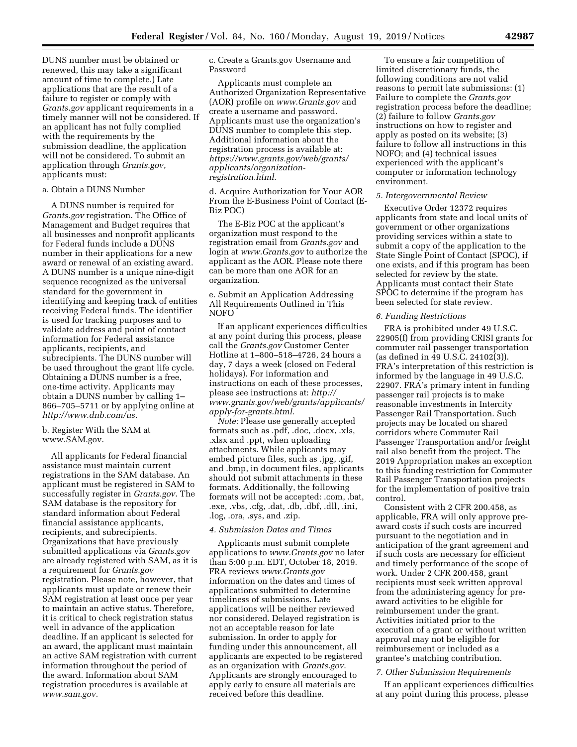DUNS number must be obtained or renewed, this may take a significant amount of time to complete.) Late applications that are the result of a failure to register or comply with *Grants.gov* applicant requirements in a timely manner will not be considered. If an applicant has not fully complied with the requirements by the submission deadline, the application will not be considered. To submit an application through *Grants.gov*, applicants must:

#### a. Obtain a DUNS Number

A DUNS number is required for *Grants.gov* registration. The Office of Management and Budget requires that all businesses and nonprofit applicants for Federal funds include a DUNS number in their applications for a new award or renewal of an existing award. A DUNS number is a unique nine-digit sequence recognized as the universal standard for the government in identifying and keeping track of entities receiving Federal funds. The identifier is used for tracking purposes and to validate address and point of contact information for Federal assistance applicants, recipients, and subrecipients. The DUNS number will be used throughout the grant life cycle. Obtaining a DUNS number is a free, one-time activity. Applicants may obtain a DUNS number by calling 1– 866–705–5711 or by applying online at *[http://www.dnb.com/us.](http://www.dnb.com/us)* 

# b. Register With the SAM at [www.SAM.gov.](http://www.SAM.gov)

All applicants for Federal financial assistance must maintain current registrations in the SAM database. An applicant must be registered in SAM to successfully register in *Grants.gov*. The SAM database is the repository for standard information about Federal financial assistance applicants, recipients, and subrecipients. Organizations that have previously submitted applications via *Grants.gov*  are already registered with SAM, as it is a requirement for *Grants.gov*  registration. Please note, however, that applicants must update or renew their SAM registration at least once per year to maintain an active status. Therefore, it is critical to check registration status well in advance of the application deadline. If an applicant is selected for an award, the applicant must maintain an active SAM registration with current information throughout the period of the award. Information about SAM registration procedures is available at *[www.sam.gov.](http://www.sam.gov)* 

c. Create a Grants.gov Username and Password

Applicants must complete an Authorized Organization Representative (AOR) profile on *[www.Grants.gov](http://www.Grants.gov)* and create a username and password. Applicants must use the organization's DUNS number to complete this step. Additional information about the registration process is available at: *[https://www.grants.gov/web/grants/](https://www.grants.gov/web/grants/applicants/organization-registration.html) [applicants/organization](https://www.grants.gov/web/grants/applicants/organization-registration.html)[registration.html.](https://www.grants.gov/web/grants/applicants/organization-registration.html)* 

d. Acquire Authorization for Your AOR From the E-Business Point of Contact (E-Biz POC)

The E-Biz POC at the applicant's organization must respond to the registration email from *Grants.gov* and login at *[www.Grants.gov](http://www.Grants.gov)* to authorize the applicant as the AOR. Please note there can be more than one AOR for an organization.

e. Submit an Application Addressing All Requirements Outlined in This NOFO

If an applicant experiences difficulties at any point during this process, please call the *Grants.gov* Customer Center Hotline at 1–800–518–4726, 24 hours a day, 7 days a week (closed on Federal holidays). For information and instructions on each of these processes, please see instructions at: *[http://](http://www.grants.gov/web/grants/applicants/apply-for-grants.html) [www.grants.gov/web/grants/applicants/](http://www.grants.gov/web/grants/applicants/apply-for-grants.html)  [apply-for-grants.html.](http://www.grants.gov/web/grants/applicants/apply-for-grants.html)* 

*Note:* Please use generally accepted formats such as .pdf, .doc, .docx, .xls, .xlsx and .ppt, when uploading attachments. While applicants may embed picture files, such as .jpg, .gif, and .bmp, in document files, applicants should not submit attachments in these formats. Additionally, the following formats will not be accepted: .com, .bat, .exe, .vbs, .cfg, .dat, .db, .dbf, .dll, .ini, .log, .ora, .sys, and .zip.

#### *4. Submission Dates and Times*

Applicants must submit complete applications to *[www.Grants.gov](http://www.Grants.gov)* no later than 5:00 p.m. EDT, October 18, 2019. FRA reviews *[www.Grants.gov](http://www.Grants.gov)*  information on the dates and times of applications submitted to determine timeliness of submissions. Late applications will be neither reviewed nor considered. Delayed registration is not an acceptable reason for late submission. In order to apply for funding under this announcement, all applicants are expected to be registered as an organization with *Grants.gov*. Applicants are strongly encouraged to apply early to ensure all materials are received before this deadline.

To ensure a fair competition of limited discretionary funds, the following conditions are not valid reasons to permit late submissions: (1) Failure to complete the *Grants.gov*  registration process before the deadline; (2) failure to follow *Grants.gov*  instructions on how to register and apply as posted on its website; (3) failure to follow all instructions in this NOFO; and (4) technical issues experienced with the applicant's computer or information technology environment.

# *5. Intergovernmental Review*

Executive Order 12372 requires applicants from state and local units of government or other organizations providing services within a state to submit a copy of the application to the State Single Point of Contact (SPOC), if one exists, and if this program has been selected for review by the state. Applicants must contact their State SPOC to determine if the program has been selected for state review.

### *6. Funding Restrictions*

FRA is prohibited under 49 U.S.C. 22905(f) from providing CRISI grants for commuter rail passenger transportation (as defined in 49 U.S.C. 24102(3)). FRA's interpretation of this restriction is informed by the language in 49 U.S.C. 22907. FRA's primary intent in funding passenger rail projects is to make reasonable investments in Intercity Passenger Rail Transportation. Such projects may be located on shared corridors where Commuter Rail Passenger Transportation and/or freight rail also benefit from the project. The 2019 Appropriation makes an exception to this funding restriction for Commuter Rail Passenger Transportation projects for the implementation of positive train control.

Consistent with 2 CFR 200.458, as applicable, FRA will only approve preaward costs if such costs are incurred pursuant to the negotiation and in anticipation of the grant agreement and if such costs are necessary for efficient and timely performance of the scope of work. Under 2 CFR 200.458, grant recipients must seek written approval from the administering agency for preaward activities to be eligible for reimbursement under the grant. Activities initiated prior to the execution of a grant or without written approval may not be eligible for reimbursement or included as a grantee's matching contribution.

# *7. Other Submission Requirements*

If an applicant experiences difficulties at any point during this process, please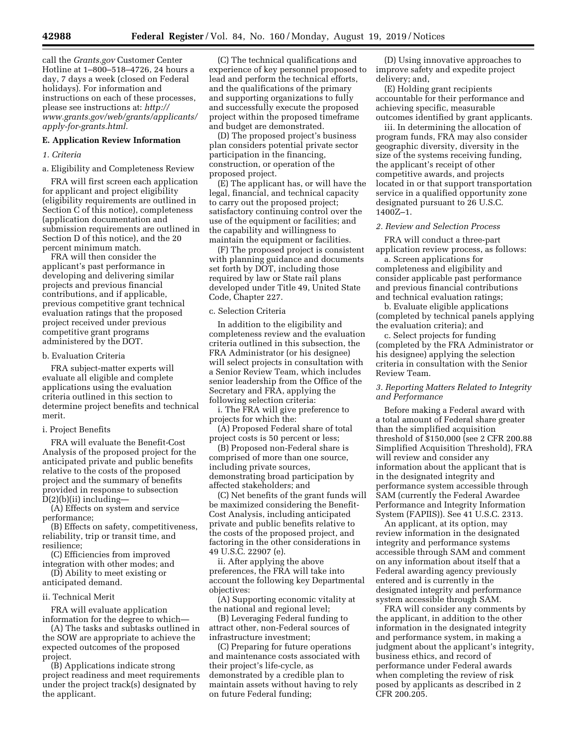call the *Grants.gov* Customer Center Hotline at 1–800–518–4726, 24 hours a day, 7 days a week (closed on Federal holidays). For information and instructions on each of these processes, please see instructions at: *[http://](http://www.grants.gov/web/grants/applicants/apply-for-grants.html) [www.grants.gov/web/grants/applicants/](http://www.grants.gov/web/grants/applicants/apply-for-grants.html)  [apply-for-grants.html.](http://www.grants.gov/web/grants/applicants/apply-for-grants.html)* 

#### **E. Application Review Information**

# *1. Criteria*

# a. Eligibility and Completeness Review

FRA will first screen each application for applicant and project eligibility (eligibility requirements are outlined in Section C of this notice), completeness (application documentation and submission requirements are outlined in Section D of this notice), and the 20 percent minimum match.

FRA will then consider the applicant's past performance in developing and delivering similar projects and previous financial contributions, and if applicable, previous competitive grant technical evaluation ratings that the proposed project received under previous competitive grant programs administered by the DOT.

### b. Evaluation Criteria

FRA subject-matter experts will evaluate all eligible and complete applications using the evaluation criteria outlined in this section to determine project benefits and technical merit.

### i. Project Benefits

FRA will evaluate the Benefit-Cost Analysis of the proposed project for the anticipated private and public benefits relative to the costs of the proposed project and the summary of benefits provided in response to subsection D(2)(b)(ii) including—

(A) Effects on system and service performance;

(B) Effects on safety, competitiveness, reliability, trip or transit time, and resilience;

(C) Efficiencies from improved integration with other modes; and

- (D) Ability to meet existing or anticipated demand.
- ii. Technical Merit

FRA will evaluate application information for the degree to which—

(A) The tasks and subtasks outlined in the SOW are appropriate to achieve the expected outcomes of the proposed project.

(B) Applications indicate strong project readiness and meet requirements under the project track(s) designated by the applicant.

(C) The technical qualifications and experience of key personnel proposed to lead and perform the technical efforts, and the qualifications of the primary and supporting organizations to fully and successfully execute the proposed project within the proposed timeframe and budget are demonstrated.

(D) The proposed project's business plan considers potential private sector participation in the financing, construction, or operation of the proposed project.

(E) The applicant has, or will have the legal, financial, and technical capacity to carry out the proposed project; satisfactory continuing control over the use of the equipment or facilities; and the capability and willingness to maintain the equipment or facilities.

(F) The proposed project is consistent with planning guidance and documents set forth by DOT, including those required by law or State rail plans developed under Title 49, United State Code, Chapter 227.

#### c. Selection Criteria

In addition to the eligibility and completeness review and the evaluation criteria outlined in this subsection, the FRA Administrator (or his designee) will select projects in consultation with a Senior Review Team, which includes senior leadership from the Office of the Secretary and FRA, applying the following selection criteria:

i. The FRA will give preference to projects for which the:

(A) Proposed Federal share of total project costs is 50 percent or less;

(B) Proposed non-Federal share is comprised of more than one source, including private sources, demonstrating broad participation by affected stakeholders; and

(C) Net benefits of the grant funds will be maximized considering the Benefit-Cost Analysis, including anticipated private and public benefits relative to the costs of the proposed project, and factoring in the other considerations in 49 U.S.C. 22907 (e).

ii. After applying the above preferences, the FRA will take into account the following key Departmental objectives:

(A) Supporting economic vitality at the national and regional level;

(B) Leveraging Federal funding to attract other, non-Federal sources of infrastructure investment;

(C) Preparing for future operations and maintenance costs associated with their project's life-cycle, as demonstrated by a credible plan to maintain assets without having to rely on future Federal funding;

(D) Using innovative approaches to improve safety and expedite project delivery; and,

(E) Holding grant recipients accountable for their performance and achieving specific, measurable outcomes identified by grant applicants.

iii. In determining the allocation of program funds, FRA may also consider geographic diversity, diversity in the size of the systems receiving funding, the applicant's receipt of other competitive awards, and projects located in or that support transportation service in a qualified opportunity zone designated pursuant to 26 U.S.C. 1400Z–1.

#### *2. Review and Selection Process*

FRA will conduct a three-part application review process, as follows:

a. Screen applications for completeness and eligibility and consider applicable past performance and previous financial contributions and technical evaluation ratings;

b. Evaluate eligible applications (completed by technical panels applying the evaluation criteria); and

c. Select projects for funding (completed by the FRA Administrator or his designee) applying the selection criteria in consultation with the Senior Review Team.

# *3. Reporting Matters Related to Integrity and Performance*

Before making a Federal award with a total amount of Federal share greater than the simplified acquisition threshold of \$150,000 (see 2 CFR 200.88 Simplified Acquisition Threshold), FRA will review and consider any information about the applicant that is in the designated integrity and performance system accessible through SAM (currently the Federal Awardee Performance and Integrity Information System (FAPIIS)). See 41 U.S.C. 2313.

An applicant, at its option, may review information in the designated integrity and performance systems accessible through SAM and comment on any information about itself that a Federal awarding agency previously entered and is currently in the designated integrity and performance system accessible through SAM.

FRA will consider any comments by the applicant, in addition to the other information in the designated integrity and performance system, in making a judgment about the applicant's integrity, business ethics, and record of performance under Federal awards when completing the review of risk posed by applicants as described in 2 CFR 200.205.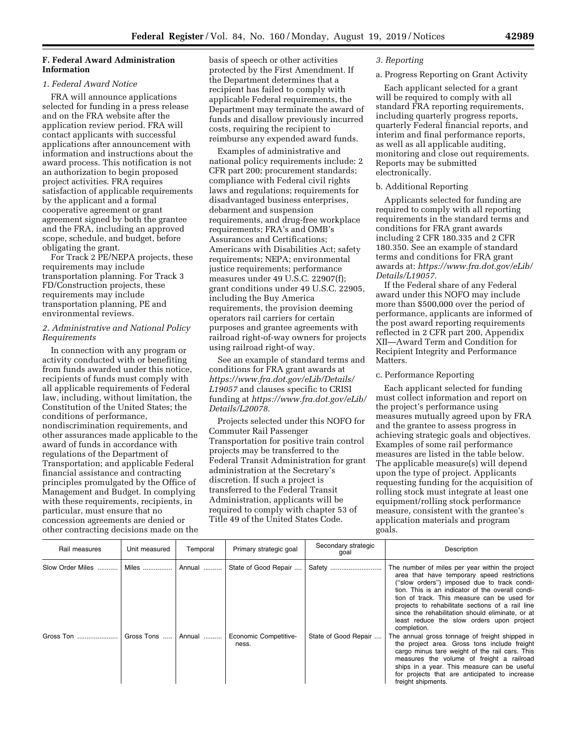## **F. Federal Award Administration Information**

### *1. Federal Award Notice*

FRA will announce applications selected for funding in a press release and on the FRA website after the application review period. FRA will contact applicants with successful applications after announcement with information and instructions about the award process. This notification is not an authorization to begin proposed project activities. FRA requires satisfaction of applicable requirements by the applicant and a formal cooperative agreement or grant agreement signed by both the grantee and the FRA, including an approved scope, schedule, and budget, before obligating the grant.

For Track 2 PE/NEPA projects, these requirements may include transportation planning. For Track 3 FD/Construction projects, these requirements may include transportation planning, PE and environmental reviews.

### *2. Administrative and National Policy Requirements*

In connection with any program or activity conducted with or benefiting from funds awarded under this notice, recipients of funds must comply with all applicable requirements of Federal law, including, without limitation, the Constitution of the United States; the conditions of performance, nondiscrimination requirements, and other assurances made applicable to the award of funds in accordance with regulations of the Department of Transportation; and applicable Federal financial assistance and contracting principles promulgated by the Office of Management and Budget. In complying with these requirements, recipients, in particular, must ensure that no concession agreements are denied or other contracting decisions made on the basis of speech or other activities protected by the First Amendment. If the Department determines that a recipient has failed to comply with applicable Federal requirements, the Department may terminate the award of funds and disallow previously incurred costs, requiring the recipient to reimburse any expended award funds.

Examples of administrative and national policy requirements include: 2 CFR part 200; procurement standards; compliance with Federal civil rights laws and regulations; requirements for disadvantaged business enterprises, debarment and suspension requirements, and drug-free workplace requirements; FRA's and OMB's Assurances and Certifications; Americans with Disabilities Act; safety requirements; NEPA; environmental justice requirements; performance measures under 49 U.S.C. 22907(f); grant conditions under 49 U.S.C. 22905, including the Buy America requirements, the provision deeming operators rail carriers for certain purposes and grantee agreements with railroad right-of-way owners for projects using railroad right-of way.

See an example of standard terms and conditions for FRA grant awards at *[https://www.fra.dot.gov/eLib/Details/](https://www.fra.dot.gov/eLib/Details/L19057) [L19057](https://www.fra.dot.gov/eLib/Details/L19057)* and clauses specific to CRISI funding at *[https://www.fra.dot.gov/eLib/](https://www.fra.dot.gov/eLib/Details/L20078)  [Details/L20078.](https://www.fra.dot.gov/eLib/Details/L20078)* 

Projects selected under this NOFO for Commuter Rail Passenger Transportation for positive train control projects may be transferred to the Federal Transit Administration for grant administration at the Secretary's discretion. If such a project is transferred to the Federal Transit Administration, applicants will be required to comply with chapter 53 of Title 49 of the United States Code.

### *3. Reporting*

### a. Progress Reporting on Grant Activity

Each applicant selected for a grant will be required to comply with all standard FRA reporting requirements, including quarterly progress reports, quarterly Federal financial reports, and interim and final performance reports, as well as all applicable auditing, monitoring and close out requirements. Reports may be submitted electronically.

### b. Additional Reporting

Applicants selected for funding are required to comply with all reporting requirements in the standard terms and conditions for FRA grant awards including 2 CFR 180.335 and 2 CFR 180.350. See an example of standard terms and conditions for FRA grant awards at: *[https://www.fra.dot.gov/eLib/](https://www.fra.dot.gov/eLib/Details/L19057) [Details/L19057.](https://www.fra.dot.gov/eLib/Details/L19057)* 

If the Federal share of any Federal award under this NOFO may include more than \$500,000 over the period of performance, applicants are informed of the post award reporting requirements reflected in 2 CFR part 200, Appendix XII—Award Term and Condition for Recipient Integrity and Performance Matters.

#### c. Performance Reporting

Each applicant selected for funding must collect information and report on the project's performance using measures mutually agreed upon by FRA and the grantee to assess progress in achieving strategic goals and objectives. Examples of some rail performance measures are listed in the table below. The applicable measure(s) will depend upon the type of project. Applicants requesting funding for the acquisition of rolling stock must integrate at least one equipment/rolling stock performance measure, consistent with the grantee's application materials and program goals.

| Rail measures    | Unit measured | Temporal | Primary strategic goal         | Secondary strategic<br>goal | Description                                                                                                                                                                                                                                                                                                                                                                                                          |
|------------------|---------------|----------|--------------------------------|-----------------------------|----------------------------------------------------------------------------------------------------------------------------------------------------------------------------------------------------------------------------------------------------------------------------------------------------------------------------------------------------------------------------------------------------------------------|
| Slow Order Miles | Miles         | Annual   | State of Good Repair           | Safety                      | The number of miles per year within the project<br>area that have temporary speed restrictions<br>("slow orders") imposed due to track condi-<br>tion. This is an indicator of the overall condi-<br>tion of track. This measure can be used for<br>projects to rehabilitate sections of a rail line<br>since the rehabilitation should eliminate, or at<br>least reduce the slow orders upon project<br>completion. |
| Gross Ton        | Gross Tons    | Annual   | Economic Competitive-<br>ness. | State of Good Repair        | The annual gross tonnage of freight shipped in<br>the project area. Gross tons include freight<br>cargo minus tare weight of the rail cars. This<br>measures the volume of freight a railroad<br>ships in a year. This measure can be useful<br>for projects that are anticipated to increase<br>freight shipments.                                                                                                  |